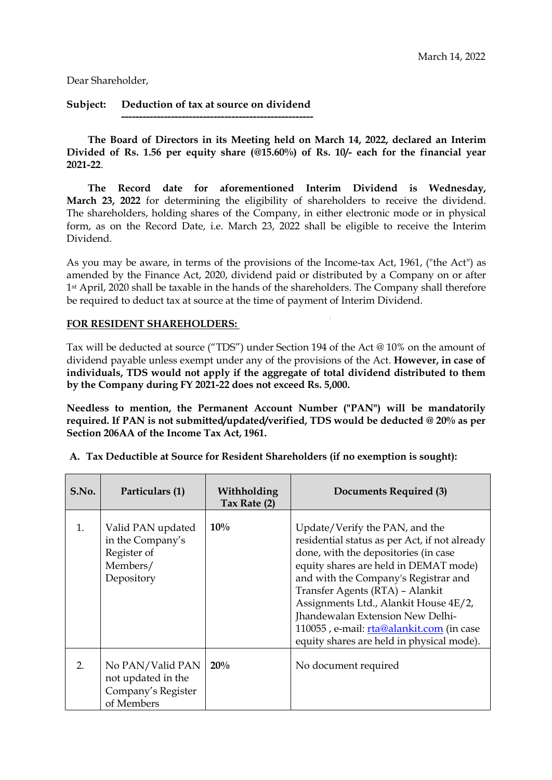Dear Shareholder,

**Subject: Deduction of tax at source on dividend**

**------------------------------------------------------**

**The Board of Directors in its Meeting held on March 14, 2022, declared an Interim Divided of Rs. 1.56 per equity share (@15.60%) of Rs. 10/- each for the financial year 2021-22**.

**The Record date for aforementioned Interim Dividend is Wednesday, March 23, 2022** for determining the eligibility of shareholders to receive the dividend. The shareholders, holding shares of the Company, in either electronic mode or in physical form, as on the Record Date, i.e. March 23, 2022 shall be eligible to receive the Interim Dividend.

As you may be aware, in terms of the provisions of the Income-tax Act, 1961, ("the Act") as amended by the Finance Act, 2020, dividend paid or distributed by a Company on or after 1st April, 2020 shall be taxable in the hands of the shareholders. The Company shall therefore be required to deduct tax at source at the time of payment of Interim Dividend.

#### **FOR RESIDENT SHAREHOLDERS:**

Tax will be deducted at source ("TDS") under Section 194 of the Act @ 10% on the amount of dividend payable unless exempt under any of the provisions of the Act. **However, in case of individuals, TDS would not apply if the aggregate of total dividend distributed to them by the Company during FY 2021-22 does not exceed Rs. 5,000.**

**Needless to mention, the Permanent Account Number ("PAN") will be mandatorily required. If PAN is not submitted/updated/verified, TDS would be deducted @ 20% as per Section 206AA of the Income Tax Act, 1961.**

| S.No. | Particulars (1)                                                                | Withholding<br>Tax Rate (2) | Documents Required (3)                                                                                                                                                                                                                                                                                                                                                                                            |
|-------|--------------------------------------------------------------------------------|-----------------------------|-------------------------------------------------------------------------------------------------------------------------------------------------------------------------------------------------------------------------------------------------------------------------------------------------------------------------------------------------------------------------------------------------------------------|
| 1.    | Valid PAN updated<br>in the Company's<br>Register of<br>Members/<br>Depository | 10%                         | Update/Verify the PAN, and the<br>residential status as per Act, if not already<br>done, with the depositories (in case<br>equity shares are held in DEMAT mode)<br>and with the Company's Registrar and<br>Transfer Agents (RTA) - Alankit<br>Assignments Ltd., Alankit House 4E/2,<br>Jhandewalan Extension New Delhi-<br>110055, e-mail: rta@alankit.com (in case<br>equity shares are held in physical mode). |
| 2.    | No PAN/Valid PAN<br>not updated in the<br>Company's Register<br>of Members     | 20%                         | No document required                                                                                                                                                                                                                                                                                                                                                                                              |

**A. Tax Deductible at Source for Resident Shareholders (if no exemption is sought):**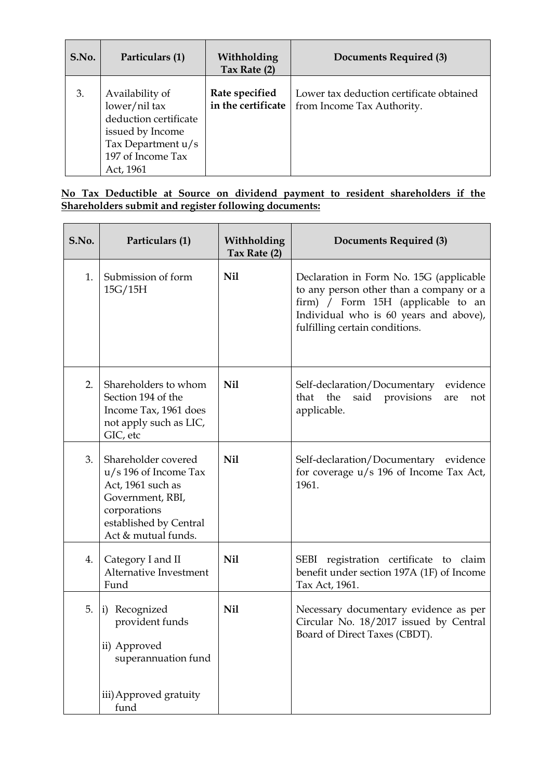| S.No. | Particulars (1)                                                                                                                       | Withholding<br>Tax Rate (2)          | Documents Required (3)                                                 |
|-------|---------------------------------------------------------------------------------------------------------------------------------------|--------------------------------------|------------------------------------------------------------------------|
| 3.    | Availability of<br>lower/nil tax<br>deduction certificate<br>issued by Income<br>Tax Department u/s<br>197 of Income Tax<br>Act, 1961 | Rate specified<br>in the certificate | Lower tax deduction certificate obtained<br>from Income Tax Authority. |

## **No Tax Deductible at Source on dividend payment to resident shareholders if the Shareholders submit and register following documents:**

| S.No. | Particulars (1)                                                                                                                                          | Withholding<br>Tax Rate (2) | Documents Required (3)                                                                                                                                                                               |
|-------|----------------------------------------------------------------------------------------------------------------------------------------------------------|-----------------------------|------------------------------------------------------------------------------------------------------------------------------------------------------------------------------------------------------|
| 1.    | Submission of form<br>15G/15H                                                                                                                            | Nil                         | Declaration in Form No. 15G (applicable<br>to any person other than a company or a<br>firm) / Form 15H (applicable to an<br>Individual who is 60 years and above),<br>fulfilling certain conditions. |
| 2.    | Shareholders to whom<br>Section 194 of the<br>Income Tax, 1961 does<br>not apply such as LIC,<br>GIC, etc                                                | <b>Nil</b>                  | Self-declaration/Documentary<br>evidence<br>said provisions<br>that the<br>not<br>are<br>applicable.                                                                                                 |
| 3.    | Shareholder covered<br>$u/s$ 196 of Income Tax<br>Act, 1961 such as<br>Government, RBI,<br>corporations<br>established by Central<br>Act & mutual funds. | <b>Nil</b>                  | Self-declaration/Documentary evidence<br>for coverage u/s 196 of Income Tax Act,<br>1961.                                                                                                            |
| 4.    | Category I and II<br>Alternative Investment<br>Fund                                                                                                      | <b>Nil</b>                  | SEBI registration certificate to claim<br>benefit under section 197A (1F) of Income<br>Tax Act, 1961.                                                                                                |
| 5.    | Recognized<br>$\mathbf{i}$<br>provident funds<br>ii) Approved<br>superannuation fund<br>iii) Approved gratuity<br>fund                                   | <b>Nil</b>                  | Necessary documentary evidence as per<br>Circular No. 18/2017 issued by Central<br>Board of Direct Taxes (CBDT).                                                                                     |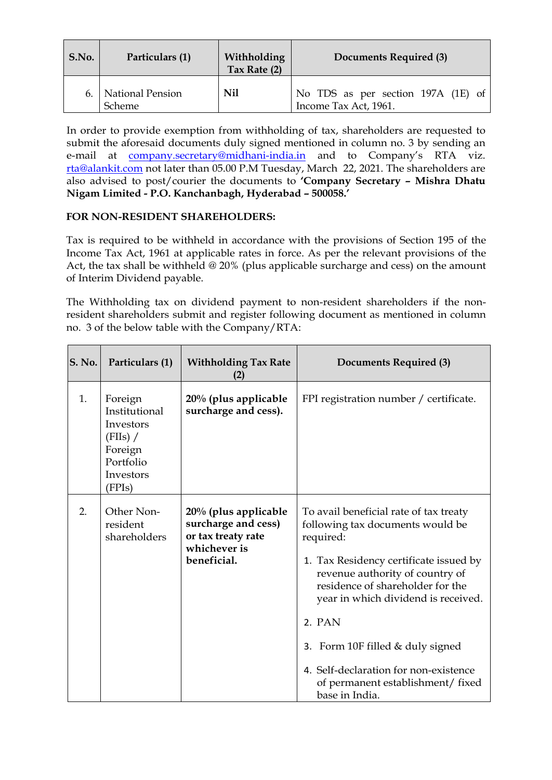| S.No. | Particulars (1)                 | Withholding<br>Tax Rate (2) | Documents Required (3)                                      |
|-------|---------------------------------|-----------------------------|-------------------------------------------------------------|
|       | 6.   National Pension<br>Scheme | Nil                         | No TDS as per section 197A (1E) of<br>Income Tax Act, 1961. |

In order to provide exemption from withholding of tax, shareholders are requested to submit the aforesaid documents duly signed mentioned in column no. 3 by sending an e-mail at [company.secretary@midhani-india.in](mailto:company.secretary@midhani-india.in) and to Company's RTA viz. [rta@alankit.com](mailto:rta@alankit.com) not later than 05.00 P.M Tuesday, March 22, 2021. The shareholders are also advised to post/courier the documents to **'Company Secretary – Mishra Dhatu Nigam Limited - P.O. Kanchanbagh, Hyderabad – 500058.'**

# **FOR NON-RESIDENT SHAREHOLDERS:**

Tax is required to be withheld in accordance with the provisions of Section 195 of the Income Tax Act, 1961 at applicable rates in force. As per the relevant provisions of the Act, the tax shall be withheld @ 20% (plus applicable surcharge and cess) on the amount of Interim Dividend payable.

The Withholding tax on dividend payment to non-resident shareholders if the nonresident shareholders submit and register following document as mentioned in column no. 3 of the below table with the Company/RTA:

| <b>S. No.</b> | Particulars (1)                                                                                  | <b>Withholding Tax Rate</b><br>(2)                                                               | <b>Documents Required (3)</b>                                                                                                                                                                                                                                                                                                                                                                  |
|---------------|--------------------------------------------------------------------------------------------------|--------------------------------------------------------------------------------------------------|------------------------------------------------------------------------------------------------------------------------------------------------------------------------------------------------------------------------------------------------------------------------------------------------------------------------------------------------------------------------------------------------|
| 1.            | Foreign<br>Institutional<br>Investors<br>(FIIs) /<br>Foreign<br>Portfolio<br>Investors<br>(FPIs) | 20% (plus applicable<br>surcharge and cess).                                                     | FPI registration number / certificate.                                                                                                                                                                                                                                                                                                                                                         |
| 2.            | Other Non-<br>resident<br>shareholders                                                           | 20% (plus applicable<br>surcharge and cess)<br>or tax treaty rate<br>whichever is<br>beneficial. | To avail beneficial rate of tax treaty<br>following tax documents would be<br>required:<br>1. Tax Residency certificate issued by<br>revenue authority of country of<br>residence of shareholder for the<br>year in which dividend is received.<br>2. PAN<br>3. Form 10F filled $&$ duly signed<br>4. Self-declaration for non-existence<br>of permanent establishment/fixed<br>base in India. |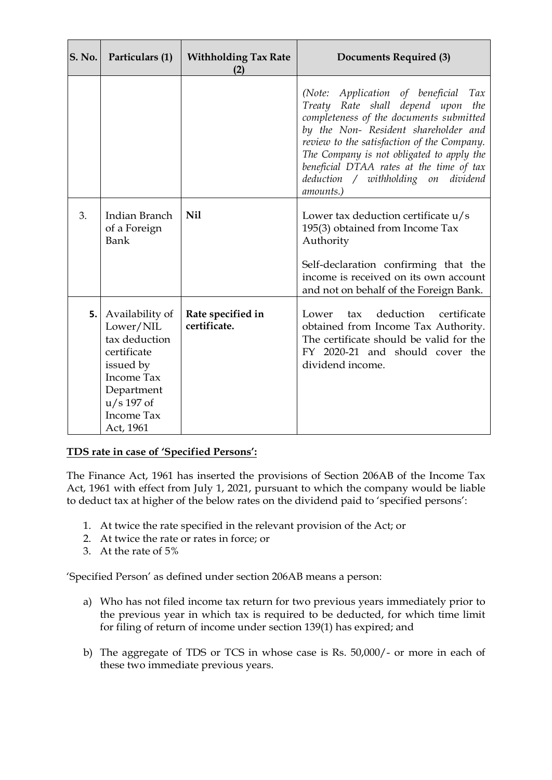| <b>S. No.</b> | Particulars (1)                                                                                                                                                | <b>Withholding Tax Rate</b><br>(2) | <b>Documents Required (3)</b>                                                                                                                                                                                                                                                                                                                                       |
|---------------|----------------------------------------------------------------------------------------------------------------------------------------------------------------|------------------------------------|---------------------------------------------------------------------------------------------------------------------------------------------------------------------------------------------------------------------------------------------------------------------------------------------------------------------------------------------------------------------|
|               |                                                                                                                                                                |                                    | Application of beneficial<br>(Note:<br>Tax<br>Treaty Rate shall depend upon<br>the<br>completeness of the documents submitted<br>by the Non- Resident shareholder and<br>review to the satisfaction of the Company.<br>The Company is not obligated to apply the<br>beneficial DTAA rates at the time of tax<br>deduction / withholding on<br>dividend<br>amounts.) |
| 3.            | Indian Branch<br>of a Foreign<br>Bank                                                                                                                          | <b>Nil</b>                         | Lower tax deduction certificate u/s<br>195(3) obtained from Income Tax<br>Authority                                                                                                                                                                                                                                                                                 |
|               |                                                                                                                                                                |                                    | Self-declaration confirming that the<br>income is received on its own account<br>and not on behalf of the Foreign Bank.                                                                                                                                                                                                                                             |
| 5.            | Availability of<br>Lower/NIL<br>tax deduction<br>certificate<br>issued by<br><b>Income Tax</b><br>Department<br>$u/s$ 197 of<br><b>Income Tax</b><br>Act, 1961 | Rate specified in<br>certificate.  | deduction<br>certificate<br>Lower<br>$\mathbf{tax}$<br>obtained from Income Tax Authority.<br>The certificate should be valid for the<br>FY 2020-21 and should cover the<br>dividend income.                                                                                                                                                                        |

# **TDS rate in case of 'Specified Persons':**

The Finance Act, 1961 has inserted the provisions of Section 206AB of the Income Tax Act, 1961 with effect from July 1, 2021, pursuant to which the company would be liable to deduct tax at higher of the below rates on the dividend paid to 'specified persons':

- 1. At twice the rate specified in the relevant provision of the Act; or
- 2. At twice the rate or rates in force; or
- 3. At the rate of 5%

'Specified Person' as defined under section 206AB means a person:

- a) Who has not filed income tax return for two previous years immediately prior to the previous year in which tax is required to be deducted, for which time limit for filing of return of income under section 139(1) has expired; and
- b) The aggregate of TDS or TCS in whose case is Rs. 50,000/- or more in each of these two immediate previous years.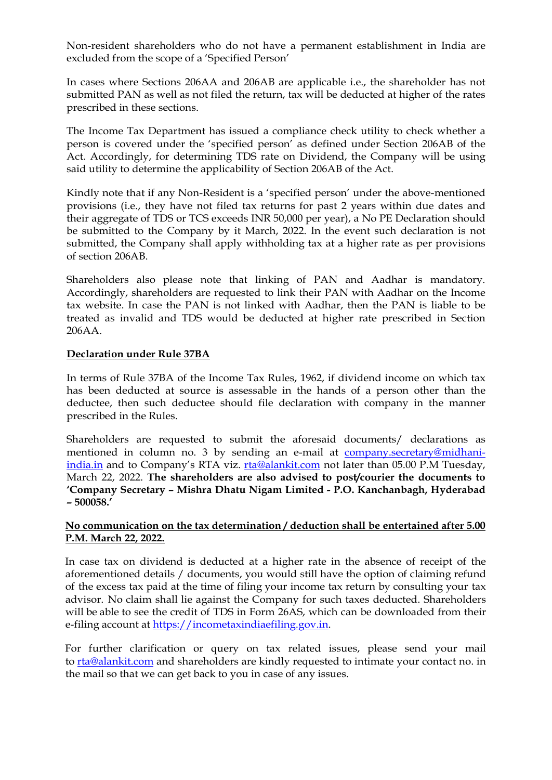Non-resident shareholders who do not have a permanent establishment in India are excluded from the scope of a 'Specified Person'

In cases where Sections 206AA and 206AB are applicable i.e., the shareholder has not submitted PAN as well as not filed the return, tax will be deducted at higher of the rates prescribed in these sections.

The Income Tax Department has issued a compliance check utility to check whether a person is covered under the 'specified person' as defined under Section 206AB of the Act. Accordingly, for determining TDS rate on Dividend, the Company will be using said utility to determine the applicability of Section 206AB of the Act.

Kindly note that if any Non-Resident is a 'specified person' under the above-mentioned provisions (i.e., they have not filed tax returns for past 2 years within due dates and their aggregate of TDS or TCS exceeds INR 50,000 per year), a No PE Declaration should be submitted to the Company by it March, 2022. In the event such declaration is not submitted, the Company shall apply withholding tax at a higher rate as per provisions of section 206AB.

Shareholders also please note that linking of PAN and Aadhar is mandatory. Accordingly, shareholders are requested to link their PAN with Aadhar on the Income tax website. In case the PAN is not linked with Aadhar, then the PAN is liable to be treated as invalid and TDS would be deducted at higher rate prescribed in Section 206AA.

#### **Declaration under Rule 37BA**

In terms of Rule 37BA of the Income Tax Rules, 1962, if dividend income on which tax has been deducted at source is assessable in the hands of a person other than the deductee, then such deductee should file declaration with company in the manner prescribed in the Rules.

Shareholders are requested to submit the aforesaid documents/ declarations as mentioned in column no. 3 by sending an e-mail at [company.secretary@midhani](mailto:company.secretary@midhani-india.in)[india.in](mailto:company.secretary@midhani-india.in) and to Company's RTA viz. [rta@alankit.com](mailto:rta@alankit.com) not later than 05.00 P.M Tuesday, March 22, 2022. **The shareholders are also advised to post/courier the documents to 'Company Secretary – Mishra Dhatu Nigam Limited - P.O. Kanchanbagh, Hyderabad – 500058.'**

## **No communication on the tax determination / deduction shall be entertained after 5.00 P.M. March 22, 2022.**

In case tax on dividend is deducted at a higher rate in the absence of receipt of the aforementioned details / documents, you would still have the option of claiming refund of the excess tax paid at the time of filing your income tax return by consulting your tax advisor. No claim shall lie against the Company for such taxes deducted. Shareholders will be able to see the credit of TDS in Form 26AS, which can be downloaded from their e-filing account at [https://incometaxindiaefiling.gov.in.](https://incometaxindiaefiling.gov.in/)

For further clarification or query on tax related issues, please send your mail to **[rta@alankit.com](mailto:rta@alankit.com)** and shareholders are kindly requested to intimate your contact no. in the mail so that we can get back to you in case of any issues.